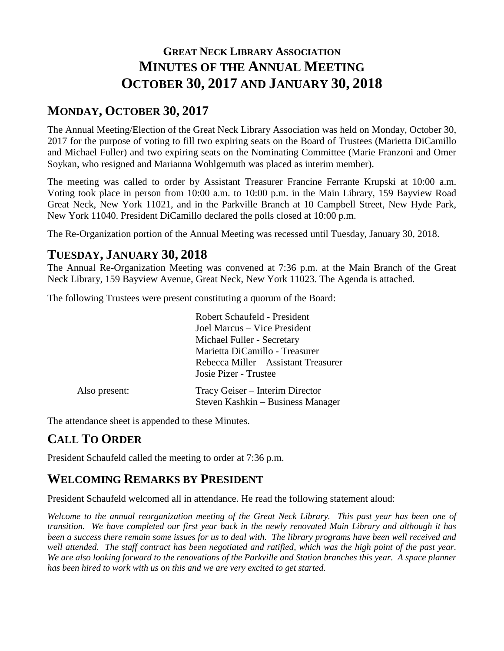# **GREAT NECK LIBRARY ASSOCIATION MINUTES OF THE ANNUAL MEETING OCTOBER 30, 2017 AND JANUARY 30, 2018**

## **MONDAY, OCTOBER 30, 2017**

The Annual Meeting/Election of the Great Neck Library Association was held on Monday, October 30, 2017 for the purpose of voting to fill two expiring seats on the Board of Trustees (Marietta DiCamillo and Michael Fuller) and two expiring seats on the Nominating Committee (Marie Franzoni and Omer Soykan, who resigned and Marianna Wohlgemuth was placed as interim member).

The meeting was called to order by Assistant Treasurer Francine Ferrante Krupski at 10:00 a.m. Voting took place in person from 10:00 a.m. to 10:00 p.m. in the Main Library, 159 Bayview Road Great Neck, New York 11021, and in the Parkville Branch at 10 Campbell Street, New Hyde Park, New York 11040. President DiCamillo declared the polls closed at 10:00 p.m.

The Re-Organization portion of the Annual Meeting was recessed until Tuesday, January 30, 2018.

# **TUESDAY, JANUARY 30, 2018**

The Annual Re-Organization Meeting was convened at 7:36 p.m. at the Main Branch of the Great Neck Library, 159 Bayview Avenue, Great Neck, New York 11023. The Agenda is attached.

The following Trustees were present constituting a quorum of the Board:

|               | Robert Schaufeld - President<br>Joel Marcus – Vice President |  |
|---------------|--------------------------------------------------------------|--|
|               |                                                              |  |
|               | Michael Fuller - Secretary                                   |  |
|               | Marietta DiCamillo - Treasurer                               |  |
|               | Rebecca Miller – Assistant Treasurer                         |  |
|               | Josie Pizer - Trustee                                        |  |
| Also present: | Tracy Geiser – Interim Director                              |  |
|               | Steven Kashkin - Business Manager                            |  |

The attendance sheet is appended to these Minutes.

# **CALL TO ORDER**

President Schaufeld called the meeting to order at 7:36 p.m.

## **WELCOMING REMARKS BY PRESIDENT**

President Schaufeld welcomed all in attendance. He read the following statement aloud:

*Welcome to the annual reorganization meeting of the Great Neck Library. This past year has been one of transition. We have completed our first year back in the newly renovated Main Library and although it has been a success there remain some issues for us to deal with. The library programs have been well received and*  well attended. The staff contract has been negotiated and ratified, which was the high point of the past year. *We are also looking forward to the renovations of the Parkville and Station branches this year. A space planner has been hired to work with us on this and we are very excited to get started.*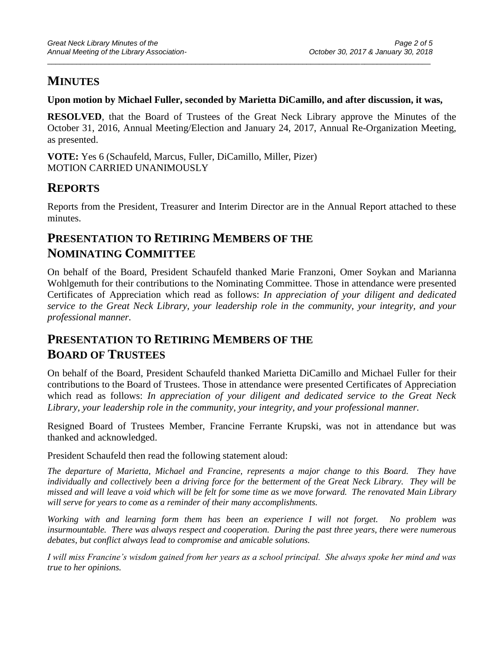## **MINUTES**

**Upon motion by Michael Fuller, seconded by Marietta DiCamillo, and after discussion, it was,**

\_\_\_\_\_\_\_\_\_\_\_\_\_\_\_\_\_\_\_\_\_\_\_\_\_\_\_\_\_\_\_\_\_\_\_\_\_\_\_\_\_\_\_\_\_\_\_\_\_\_\_\_\_\_\_\_\_\_\_\_\_\_\_\_\_\_\_\_\_\_\_\_\_\_\_\_\_\_\_\_\_\_\_\_\_\_\_\_\_\_\_\_\_

**RESOLVED**, that the Board of Trustees of the Great Neck Library approve the Minutes of the October 31, 2016, Annual Meeting/Election and January 24, 2017, Annual Re-Organization Meeting, as presented.

**VOTE:** Yes 6 (Schaufeld, Marcus, Fuller, DiCamillo, Miller, Pizer) MOTION CARRIED UNANIMOUSLY

## **REPORTS**

Reports from the President, Treasurer and Interim Director are in the Annual Report attached to these minutes.

# **PRESENTATION TO RETIRING MEMBERS OF THE NOMINATING COMMITTEE**

On behalf of the Board, President Schaufeld thanked Marie Franzoni, Omer Soykan and Marianna Wohlgemuth for their contributions to the Nominating Committee. Those in attendance were presented Certificates of Appreciation which read as follows: *In appreciation of your diligent and dedicated service to the Great Neck Library, your leadership role in the community, your integrity, and your professional manner.*

# **PRESENTATION TO RETIRING MEMBERS OF THE BOARD OF TRUSTEES**

On behalf of the Board, President Schaufeld thanked Marietta DiCamillo and Michael Fuller for their contributions to the Board of Trustees. Those in attendance were presented Certificates of Appreciation which read as follows: *In appreciation of your diligent and dedicated service to the Great Neck Library, your leadership role in the community, your integrity, and your professional manner.*

Resigned Board of Trustees Member, Francine Ferrante Krupski, was not in attendance but was thanked and acknowledged.

President Schaufeld then read the following statement aloud:

*The departure of Marietta, Michael and Francine, represents a major change to this Board. They have individually and collectively been a driving force for the betterment of the Great Neck Library. They will be missed and will leave a void which will be felt for some time as we move forward. The renovated Main Library will serve for years to come as a reminder of their many accomplishments.*

*Working with and learning form them has been an experience I will not forget. No problem was insurmountable. There was always respect and cooperation. During the past three years, there were numerous debates, but conflict always lead to compromise and amicable solutions.* 

*I will miss Francine's wisdom gained from her years as a school principal. She always spoke her mind and was true to her opinions.*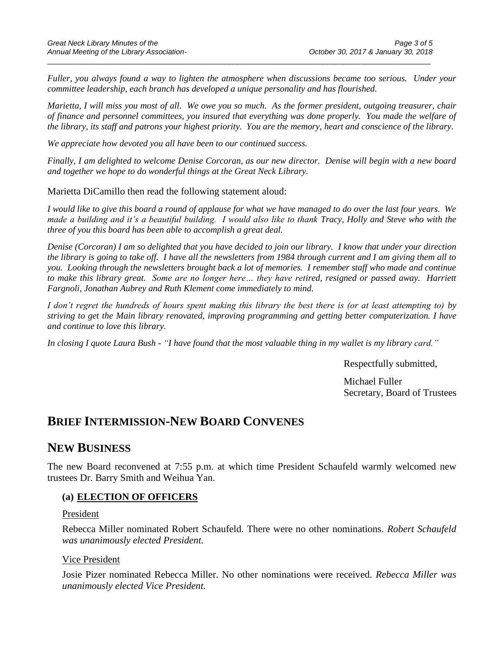*Fuller, you always found a way to lighten the atmosphere when discussions became too serious. Under your committee leadership, each branch has developed a unique personality and has flourished.*

\_\_\_\_\_\_\_\_\_\_\_\_\_\_\_\_\_\_\_\_\_\_\_\_\_\_\_\_\_\_\_\_\_\_\_\_\_\_\_\_\_\_\_\_\_\_\_\_\_\_\_\_\_\_\_\_\_\_\_\_\_\_\_\_\_\_\_\_\_\_\_\_\_\_\_\_\_\_\_\_\_\_\_\_\_\_\_\_\_\_\_\_\_

*Marietta, I will miss you most of all. We owe you so much. As the former president, outgoing treasurer, chair of finance and personnel committees, you insured that everything was done properly. You made the welfare of the library, its staff and patrons your highest priority. You are the memory, heart and conscience of the library.*

*We appreciate how devoted you all have been to our continued success.*

*Finally, I am delighted to welcome Denise Corcoran, as our new director. Denise will begin with a new board and together we hope to do wonderful things at the Great Neck Library.*

Marietta DiCamillo then read the following statement aloud:

*I would like to give this board a round of applause for what we have managed to do over the last four years. We made a building and it's a beautiful building. I would also like to thank Tracy, Holly and Steve who with the three of you this board has been able to accomplish a great deal.* 

*Denise (Corcoran) I am so delighted that you have decided to join our library. I know that under your direction the library is going to take off. I have all the newsletters from 1984 through current and I am giving them all to you. Looking through the newsletters brought back a lot of memories. I remember staff who made and continue to make this library great. Some are no longer here… they have retired, resigned or passed away. Harriett Fargnoli, Jonathan Aubrey and Ruth Klement come immediately to mind.*

*I don't regret the hundreds of hours spent making this library the best there is (or at least attempting to) by striving to get the Main library renovated, improving programming and getting better computerization. I have and continue to love this library.* 

*In closing I quote Laura Bush - "I have found that the most valuable thing in my wallet is my library card."*

Respectfully submitted,

Michael Fuller Secretary, Board of Trustees

## **BRIEF INTERMISSION-NEW BOARD CONVENES**

### **NEW BUSINESS**

The new Board reconvened at 7:55 p.m. at which time President Schaufeld warmly welcomed new trustees Dr. Barry Smith and Weihua Yan.

### **(a) ELECTION OF OFFICERS**

President

Rebecca Miller nominated Robert Schaufeld. There were no other nominations. *Robert Schaufeld was unanimously elected President.*

#### Vice President

Josie Pizer nominated Rebecca Miller. No other nominations were received. *Rebecca Miller was unanimously elected Vice President.*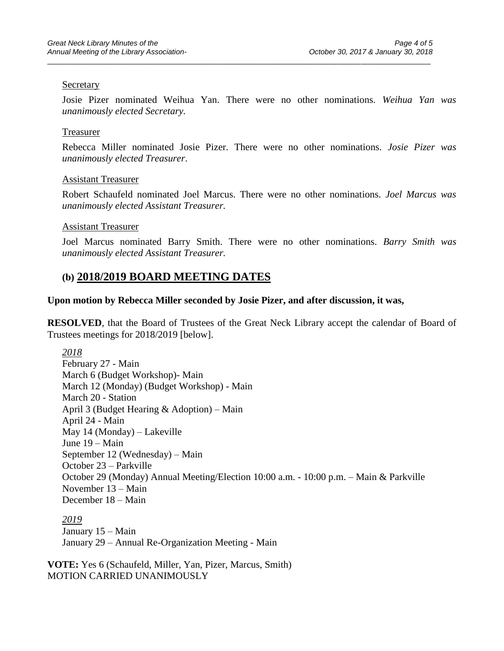#### **Secretary**

Josie Pizer nominated Weihua Yan. There were no other nominations. *Weihua Yan was unanimously elected Secretary.*

\_\_\_\_\_\_\_\_\_\_\_\_\_\_\_\_\_\_\_\_\_\_\_\_\_\_\_\_\_\_\_\_\_\_\_\_\_\_\_\_\_\_\_\_\_\_\_\_\_\_\_\_\_\_\_\_\_\_\_\_\_\_\_\_\_\_\_\_\_\_\_\_\_\_\_\_\_\_\_\_\_\_\_\_\_\_\_\_\_\_\_\_\_

#### Treasurer

Rebecca Miller nominated Josie Pizer. There were no other nominations. *Josie Pizer was unanimously elected Treasurer*.

#### Assistant Treasurer

Robert Schaufeld nominated Joel Marcus. There were no other nominations. *Joel Marcus was unanimously elected Assistant Treasurer.*

#### Assistant Treasurer

Joel Marcus nominated Barry Smith. There were no other nominations. *Barry Smith was unanimously elected Assistant Treasurer.*

### **(b) 2018/2019 BOARD MEETING DATES**

#### **Upon motion by Rebecca Miller seconded by Josie Pizer, and after discussion, it was,**

**RESOLVED**, that the Board of Trustees of the Great Neck Library accept the calendar of Board of Trustees meetings for 2018/2019 [below].

*2018* February 27 - Main March 6 (Budget Workshop)- Main March 12 (Monday) (Budget Workshop) - Main March 20 - Station April 3 (Budget Hearing & Adoption) – Main April 24 - Main May 14 (Monday) – Lakeville June 19 – Main September 12 (Wednesday) – Main October 23 – Parkville October 29 (Monday) Annual Meeting/Election 10:00 a.m. - 10:00 p.m. – Main & Parkville November 13 – Main December 18 – Main

*2019* January 15 – Main January 29 – Annual Re-Organization Meeting - Main

**VOTE:** Yes 6 (Schaufeld, Miller, Yan, Pizer, Marcus, Smith) MOTION CARRIED UNANIMOUSLY